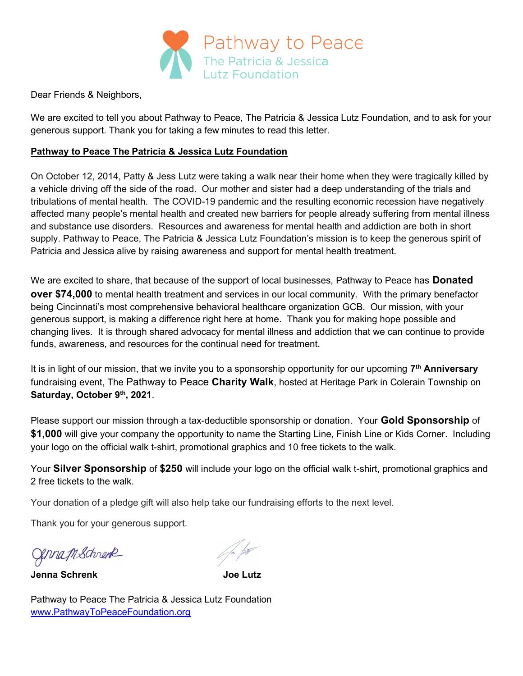

Dear Friends & Neighbors,

We are excited to tell you about Pathway to Peace, The Patricia & Jessica Lutz Foundation, and to ask for your generous support. Thank you for taking a few minutes to read this letter.

## Pathway to Peace The Patricia & Jessica Lutz Foundation

On October 12, 2014, Patty & Jess Lutz were taking a walk near their home when they were tragically killed by a vehicle driving off the side of the road. Our mother and sister had a deep understanding of the trials and tribulations of mental health. The COVID-19 pandemic and the resulting economic recession have negatively affected many people's mental health and created new barriers for people already suffering from mental illness and substance use disorders. Resources and awareness for mental health and addiction are both in short supply. Pathway to Peace, The Patricia & Jessica Lutz Foundation's mission is to keep the generous spirit of Patricia and Jessica alive by raising awareness and support for mental health treatment.

We are excited to share, that because of the support of local businesses, Pathway to Peace has Donated over \$74,000 to mental health treatment and services in our local community. With the primary benefactor being Cincinnati's most comprehensive behavioral healthcare organization GCB. Our mission, with your generous support, is making a difference right here at home. Thank you for making hope possible and changing lives. It is through shared advocacy for mental illness and addiction that we can continue to provide funds, awareness, and resources for the continual need for treatment.

It is in light of our mission, that we invite you to a sponsorship opportunity for our upcoming 7<sup>th</sup> Anniversary fundraising event, The Pathway to Peace Charity Walk, hosted at Heritage Park in Colerain Township on Saturday, October 9th, 2021.

Please support our mission through a tax-deductible sponsorship or donation. Your Gold Sponsorship of \$1,000 will give your company the opportunity to name the Starting Line, Finish Line or Kids Corner. Including your logo on the official walk t-shirt, promotional graphics and 10 free tickets to the walk.

Your Silver Sponsorship of \$250 will include your logo on the official walk t-shirt, promotional graphics and 2 free tickets to the walk.

Your donation of a pledge gift will also help take our fundraising efforts to the next level.

Thank you for your generous support.

Genna MSchrenk

Jenna Schrenk Joe Lutz

Pathway to Peace The Patricia & Jessica Lutz Foundation www.PathwayToPeaceFoundation.org